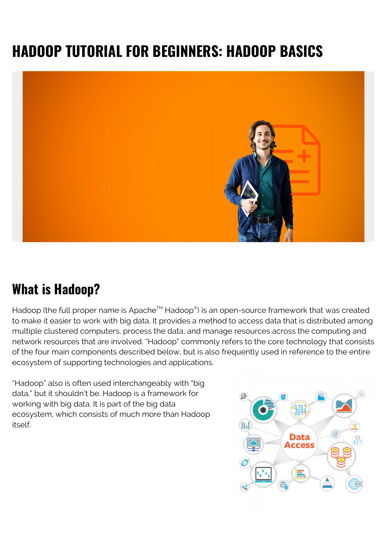# **HADOOP TUTORIAL FOR BEGINNERS: HADOOP BASICS**



#### **What is Hadoop?**

Hadoop (the full proper name is Apache™ Hadoop®) is an open-source framework that was created to make it easier to work with big data. It provides a method to access data that is distributed among multiple clustered computers, process the data, and manage resources across the computing and network resources that are involved. "Hadoop" commonly refers to the core technology that consists of the four main components described below, but is also frequently used in reference to the entire ecosystem of supporting technologies and applications.

"Hadoop" also is often used interchangeably with "big data," but it shouldn't be. Hadoop is a framework for working with big data. It is part of the big data ecosystem, which consists of much more than Hadoop itself.

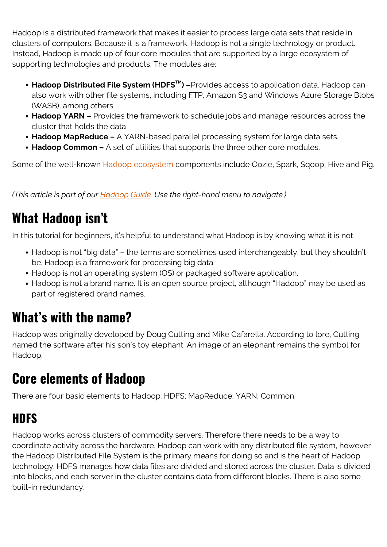Hadoop is a distributed framework that makes it easier to process large data sets that reside in clusters of computers. Because it is a framework, Hadoop is not a single technology or product. Instead, Hadoop is made up of four core modules that are supported by a large ecosystem of supporting technologies and products. The modules are:

- **Hadoop Distributed File System (HDFSTM) –**Provides access to application data. Hadoop can also work with other file systems, including FTP, Amazon S3 and Windows Azure Storage Blobs (WASB), among others.
- **Hadoop YARN** Provides the framework to schedule jobs and manage resources across the cluster that holds the data
- **Hadoop MapReduce –** A YARN-based parallel processing system for large data sets.
- **Hadoop Common –** A set of utilities that supports the three other core modules.

Some of the well-known **Hadoop ecosystem** components include Oozie, Spark, Sqoop, Hive and Pig.

*(This article is part of our [Hadoop Guide](https://blogs.bmc.com/blogs/hadoop-introduction/). Use the right-hand menu to navigate.)*

## **What Hadoop isn't**

In this tutorial for beginners, it's helpful to understand what Hadoop is by knowing what it is not.

- Hadoop is not "big data" the terms are sometimes used interchangeably, but they shouldn't be. Hadoop is a framework for processing big data.
- Hadoop is not an operating system (OS) or packaged software application.
- Hadoop is not a brand name. It is an open source project, although "Hadoop" may be used as part of registered brand names.

### **What's with the name?**

Hadoop was originally developed by Doug Cutting and Mike Cafarella. According to lore, Cutting named the software after his son's toy elephant. An image of an elephant remains the symbol for Hadoop.

## **Core elements of Hadoop**

There are four basic elements to Hadoop: HDFS; MapReduce; YARN; Common.

### **HDFS**

Hadoop works across clusters of commodity servers. Therefore there needs to be a way to coordinate activity across the hardware. Hadoop can work with any distributed file system, however the Hadoop Distributed File System is the primary means for doing so and is the heart of Hadoop technology. HDFS manages how data files are divided and stored across the cluster. Data is divided into blocks, and each server in the cluster contains data from different blocks. There is also some built-in redundancy.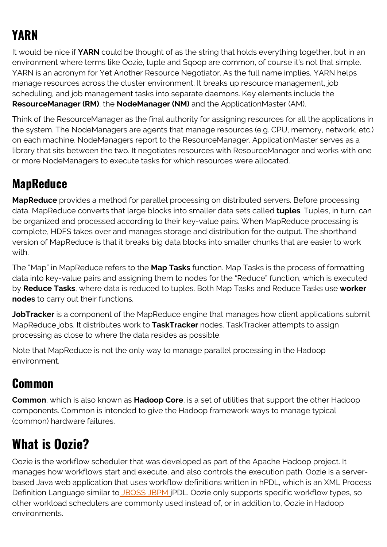## **YARN**

It would be nice if **YARN** could be thought of as the string that holds everything together, but in an environment where terms like Oozie, tuple and Sqoop are common, of course it's not that simple. YARN is an acronym for Yet Another Resource Negotiator. As the full name implies, YARN helps manage resources across the cluster environment. It breaks up resource management, job scheduling, and job management tasks into separate daemons. Key elements include the **ResourceManager (RM)**, the **NodeManager (NM)** and the ApplicationMaster (AM).

Think of the ResourceManager as the final authority for assigning resources for all the applications in the system. The NodeManagers are agents that manage resources (e.g. CPU, memory, network, etc.) on each machine. NodeManagers report to the ResourceManager. ApplicationMaster serves as a library that sits between the two. It negotiates resources with ResourceManager and works with one or more NodeManagers to execute tasks for which resources were allocated.

#### **MapReduce**

**MapReduce** provides a method for parallel processing on distributed servers. Before processing data, MapReduce converts that large blocks into smaller data sets called **tuples**. Tuples, in turn, can be organized and processed according to their key-value pairs. When MapReduce processing is complete, HDFS takes over and manages storage and distribution for the output. The shorthand version of MapReduce is that it breaks big data blocks into smaller chunks that are easier to work with.

The "Map" in MapReduce refers to the **Map Tasks** function. Map Tasks is the process of formatting data into key-value pairs and assigning them to nodes for the "Reduce" function, which is executed by **Reduce Tasks**, where data is reduced to tuples. Both Map Tasks and Reduce Tasks use **worker nodes** to carry out their functions.

**JobTracker** is a component of the MapReduce engine that manages how client applications submit MapReduce jobs. It distributes work to **TaskTracker** nodes. TaskTracker attempts to assign processing as close to where the data resides as possible.

Note that MapReduce is not the only way to manage parallel processing in the Hadoop environment.

#### **Common**

**Common**, which is also known as **Hadoop Core**, is a set of utilities that support the other Hadoop components. Common is intended to give the Hadoop framework ways to manage typical (common) hardware failures.

## **What is Oozie?**

Oozie is the workflow scheduler that was developed as part of the Apache Hadoop project. It manages how workflows start and execute, and also controls the execution path. Oozie is a serverbased Java web application that uses workflow definitions written in hPDL, which is an XML Process Definition Language similar to [JBOSS JBPM](http://www.jboss.org/jbossjbpm/) jPDL. Oozie only supports specific workflow types, so other workload schedulers are commonly used instead of, or in addition to, Oozie in Hadoop environments.